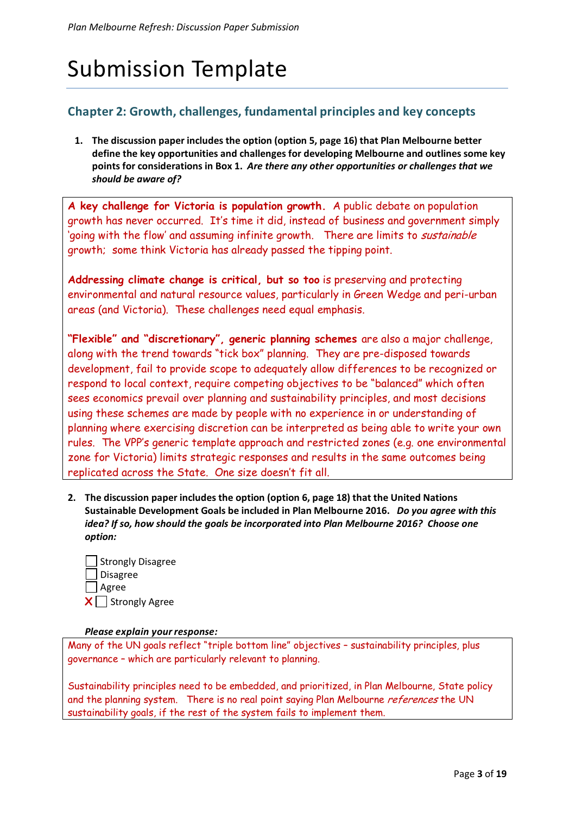# Submission Template

# **Chapter 2: Growth, challenges, fundamental principles and key concepts**

**1. The discussion paper includes the option (option 5, page 16) that Plan Melbourne better define the key opportunities and challenges for developing Melbourne and outlines some key points for considerations in Box 1.** *Are there any other opportunities or challenges that we should be aware of?*

**A key challenge for Victoria is population growth.** A public debate on population growth has never occurred. It's time it did, instead of business and government simply 'going with the flow' and assuming infinite growth. There are limits to *sustainable* growth; some think Victoria has already passed the tipping point.

**Addressing climate change is critical, but so too** is preserving and protecting environmental and natural resource values, particularly in Green Wedge and peri-urban areas (and Victoria). These challenges need equal emphasis.

**"Flexible" and "discretionary", generic planning schemes** are also a major challenge, along with the trend towards "tick box" planning. They are pre-disposed towards development, fail to provide scope to adequately allow differences to be recognized or respond to local context, require competing objectives to be "balanced" which often sees economics prevail over planning and sustainability principles, and most decisions using these schemes are made by people with no experience in or understanding of planning where exercising discretion can be interpreted as being able to write your own rules. The VPP's generic template approach and restricted zones (e.g. one environmental zone for Victoria) limits strategic responses and results in the same outcomes being replicated across the State. One size doesn't fit all.

**2. The discussion paper includes the option (option 6, page 18) that the United Nations Sustainable Development Goals be included in Plan Melbourne 2016.** *Do you agree with this idea? If so, how should the goals be incorporated into Plan Melbourne 2016? Choose one option:*

| Strongly Disagree              |
|--------------------------------|
| $\Box$ Disagree                |
| ∣ _  Agree                     |
| $\vert X \vert$ Strongly Agree |

## *Please explain your response:*

Many of the UN goals reflect "triple bottom line" objectives – sustainability principles, plus governance – which are particularly relevant to planning.

Sustainability principles need to be embedded, and prioritized, in Plan Melbourne, State policy and the planning system. There is no real point saying Plan Melbourne references the UN sustainability goals, if the rest of the system fails to implement them.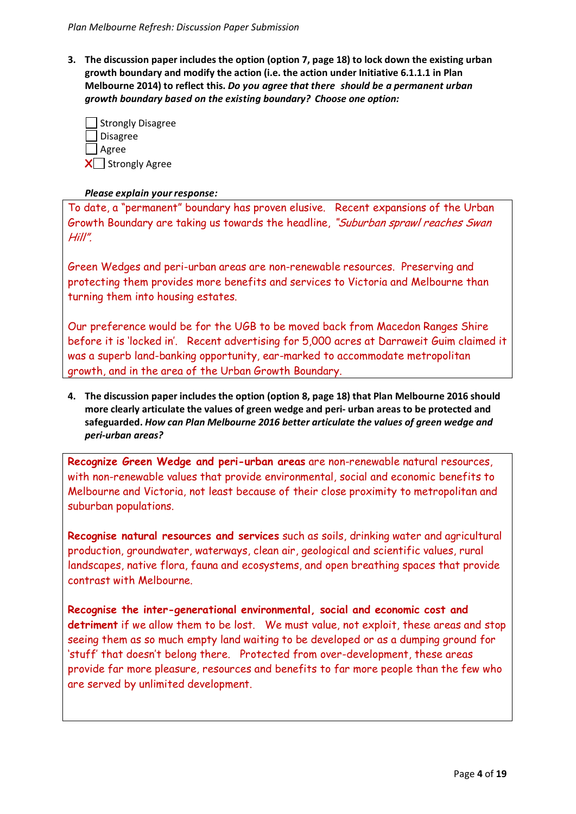**3. The discussion paper includes the option (option 7, page 18) to lock down the existing urban growth boundary and modify the action (i.e. the action under Initiative 6.1.1.1 in Plan Melbourne 2014) to reflect this.** *Do you agree that there should be a permanent urban growth boundary based on the existing boundary? Choose one option:*

| Strongly Disagree |
|-------------------|
| Disagree          |
| $\Box$ Agree      |
| X Strongly Agree  |

# *Please explain your response:*

To date, a "permanent" boundary has proven elusive. Recent expansions of the Urban Growth Boundary are taking us towards the headline, "Suburban sprawl reaches Swan Hill".

Green Wedges and peri-urban areas are non-renewable resources. Preserving and protecting them provides more benefits and services to Victoria and Melbourne than turning them into housing estates.

Our preference would be for the UGB to be moved back from Macedon Ranges Shire before it is 'locked in'. Recent advertising for 5,000 acres at Darraweit Guim claimed it was a superb land-banking opportunity, ear-marked to accommodate metropolitan growth, and in the area of the Urban Growth Boundary.

**4. The discussion paper includes the option (option 8, page 18) that Plan Melbourne 2016 should more clearly articulate the values of green wedge and peri- urban areas to be protected and safeguarded.** *How can Plan Melbourne 2016 better articulate the values of green wedge and peri-urban areas?*

**Recognize Green Wedge and peri-urban areas** are non-renewable natural resources, with non-renewable values that provide environmental, social and economic benefits to Melbourne and Victoria, not least because of their close proximity to metropolitan and suburban populations.

**Recognise natural resources and services** such as soils, drinking water and agricultural production, groundwater, waterways, clean air, geological and scientific values, rural landscapes, native flora, fauna and ecosystems, and open breathing spaces that provide contrast with Melbourne.

**Recognise the inter-generational environmental, social and economic cost and detriment** if we allow them to be lost. We must value, not exploit, these areas and stop seeing them as so much empty land waiting to be developed or as a dumping ground for 'stuff' that doesn't belong there. Protected from over-development, these areas provide far more pleasure, resources and benefits to far more people than the few who are served by unlimited development.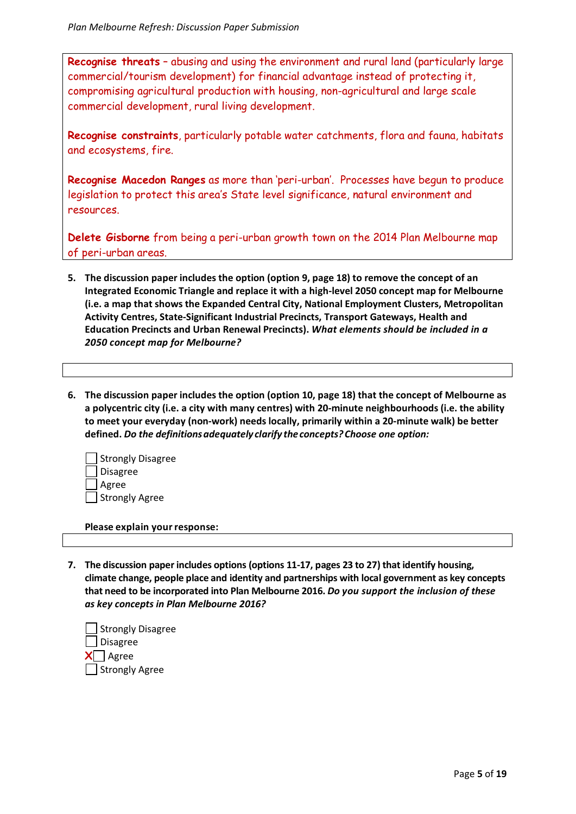**Recognise threats** – abusing and using the environment and rural land (particularly large commercial/tourism development) for financial advantage instead of protecting it, compromising agricultural production with housing, non-agricultural and large scale commercial development, rural living development.

**Recognise constraints**, particularly potable water catchments, flora and fauna, habitats and ecosystems, fire.

**Recognise Macedon Ranges** as more than 'peri-urban'. Processes have begun to produce legislation to protect this area's State level significance, natural environment and resources.

**Delete Gisborne** from being a peri-urban growth town on the 2014 Plan Melbourne map of peri-urban areas.

- **5. The discussion paper includes the option (option 9, page 18) to remove the concept of an Integrated Economic Triangle and replace it with a high-level 2050 concept map for Melbourne (i.e. a map that shows the Expanded Central City, National Employment Clusters, Metropolitan Activity Centres, State-Significant Industrial Precincts, Transport Gateways, Health and Education Precincts and Urban Renewal Precincts).** *What elements should be included in a 2050 concept map for Melbourne?*
- **6. The discussion paper includes the option (option 10, page 18) that the concept of Melbourne as a polycentric city (i.e. a city with many centres) with 20-minute neighbourhoods (i.e. the ability to meet your everyday (non-work) needs locally, primarily within a 20-minute walk) be better defined.** *Do the definitions adequately clarify the concepts? Choose one option:*

| Strongly Disagree |
|-------------------|
| Disagree          |
| Agree             |
| Strongly Agree    |

**Please explain your response:** 

**7. The discussion paper includes options (options 11-17, pages 23 to 27) that identify housing, climate change, people place and identity and partnerships with local government as key concepts that need to be incorporated into Plan Melbourne 2016.** *Do you support the inclusion of these as key concepts in Plan Melbourne 2016?*

 Strongly Disagree Disagree  $X \Box$  Agree Strongly Agree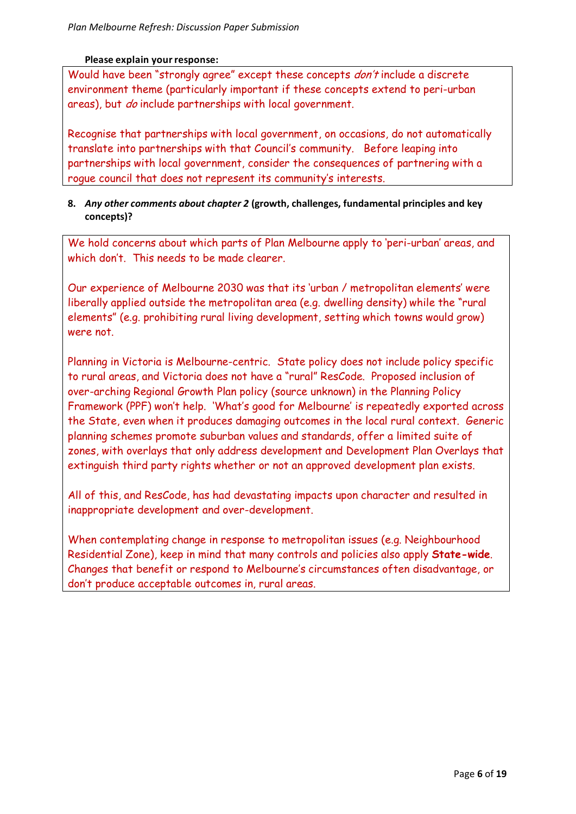# **Please explain your response:**

Would have been "strongly agree" except these concepts *don't* include a discrete environment theme (particularly important if these concepts extend to peri-urban areas), but *do* include partnerships with local government.

Recognise that partnerships with local government, on occasions, do not automatically translate into partnerships with that Council's community. Before leaping into partnerships with local government, consider the consequences of partnering with a rogue council that does not represent its community's interests.

# **8.** *Any other comments about chapter 2* **(growth, challenges, fundamental principles and key concepts)?**

We hold concerns about which parts of Plan Melbourne apply to 'peri-urban' areas, and which don't. This needs to be made clearer.

Our experience of Melbourne 2030 was that its 'urban / metropolitan elements' were liberally applied outside the metropolitan area (e.g. dwelling density) while the "rural elements" (e.g. prohibiting rural living development, setting which towns would grow) were not.

Planning in Victoria is Melbourne-centric. State policy does not include policy specific to rural areas, and Victoria does not have a "rural" ResCode. Proposed inclusion of over-arching Regional Growth Plan policy (source unknown) in the Planning Policy Framework (PPF) won't help. 'What's good for Melbourne' is repeatedly exported across the State, even when it produces damaging outcomes in the local rural context. Generic planning schemes promote suburban values and standards, offer a limited suite of zones, with overlays that only address development and Development Plan Overlays that extinguish third party rights whether or not an approved development plan exists.

All of this, and ResCode, has had devastating impacts upon character and resulted in inappropriate development and over-development.

When contemplating change in response to metropolitan issues (e.g. Neighbourhood Residential Zone), keep in mind that many controls and policies also apply **State-wide**. Changes that benefit or respond to Melbourne's circumstances often disadvantage, or don't produce acceptable outcomes in, rural areas.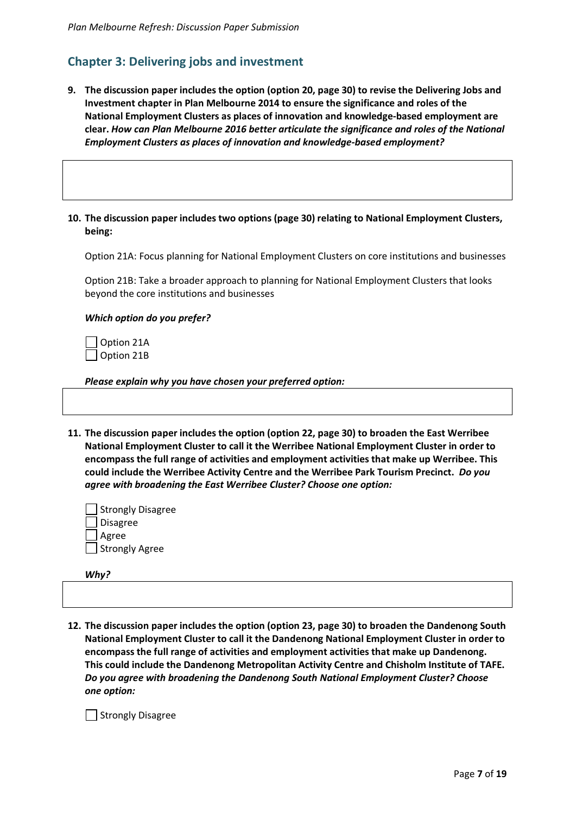# **Chapter 3: Delivering jobs and investment**

- **9. The discussion paper includes the option (option 20, page 30) to revise the Delivering Jobs and Investment chapter in Plan Melbourne 2014 to ensure the significance and roles of the National Employment Clusters as places of innovation and knowledge-based employment are clear.** *How can Plan Melbourne 2016 better articulate the significance and roles of the National Employment Clusters as places of innovation and knowledge-based employment?*
- **10. The discussion paper includes two options (page 30) relating to National Employment Clusters, being:**

Option 21A: Focus planning for National Employment Clusters on core institutions and businesses

Option 21B: Take a broader approach to planning for National Employment Clusters that looks beyond the core institutions and businesses

#### *Which option do you prefer?*

 Option 21A Option 21B

*Please explain why you have chosen your preferred option:* 

**11. The discussion paper includes the option (option 22, page 30) to broaden the East Werribee National Employment Cluster to call it the Werribee National Employment Cluster in order to encompass the full range of activities and employment activities that make up Werribee. This could include the Werribee Activity Centre and the Werribee Park Tourism Precinct.** *Do you agree with broadening the East Werribee Cluster? Choose one option:*

| Strongly Disagree |
|-------------------|
| Disagree          |
| Agree             |
| Strongly Agree    |

*Why?* 

**12. The discussion paper includes the option (option 23, page 30) to broaden the Dandenong South National Employment Cluster to call it the Dandenong National Employment Cluster in order to encompass the full range of activities and employment activities that make up Dandenong. This could include the Dandenong Metropolitan Activity Centre and Chisholm Institute of TAFE.** *Do you agree with broadening the Dandenong South National Employment Cluster? Choose one option:*

Strongly Disagree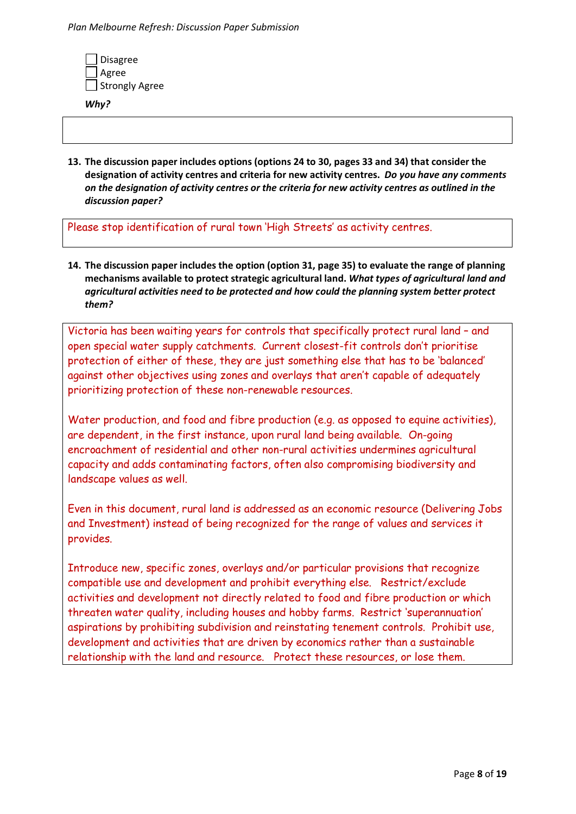| Disagree       |
|----------------|
| Agree          |
| Strongly Agree |

*Why?* 

**13. The discussion paper includes options (options 24 to 30, pages 33 and 34) that consider the designation of activity centres and criteria for new activity centres.** *Do you have any comments on the designation of activity centres or the criteria for new activity centres as outlined in the discussion paper?*

Please stop identification of rural town 'High Streets' as activity centres.

**14. The discussion paper includes the option (option 31, page 35) to evaluate the range of planning mechanisms available to protect strategic agricultural land.** *What types of agricultural land and agricultural activities need to be protected and how could the planning system better protect them?*

Victoria has been waiting years for controls that specifically protect rural land – and open special water supply catchments. Current closest-fit controls don't prioritise protection of either of these, they are just something else that has to be 'balanced' against other objectives using zones and overlays that aren't capable of adequately prioritizing protection of these non-renewable resources.

Water production, and food and fibre production (e.g. as opposed to equine activities), are dependent, in the first instance, upon rural land being available. On-going encroachment of residential and other non-rural activities undermines agricultural capacity and adds contaminating factors, often also compromising biodiversity and landscape values as well.

Even in this document, rural land is addressed as an economic resource (Delivering Jobs and Investment) instead of being recognized for the range of values and services it provides.

Introduce new, specific zones, overlays and/or particular provisions that recognize compatible use and development and prohibit everything else. Restrict/exclude activities and development not directly related to food and fibre production or which threaten water quality, including houses and hobby farms. Restrict 'superannuation' aspirations by prohibiting subdivision and reinstating tenement controls. Prohibit use, development and activities that are driven by economics rather than a sustainable relationship with the land and resource. Protect these resources, or lose them.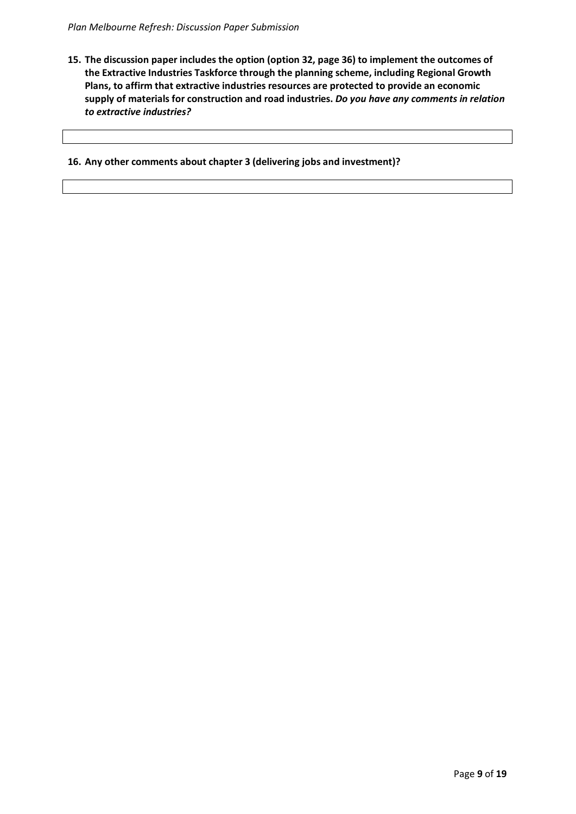**15. The discussion paper includes the option (option 32, page 36) to implement the outcomes of the Extractive Industries Taskforce through the planning scheme, including Regional Growth Plans, to affirm that extractive industries resources are protected to provide an economic supply of materials for construction and road industries.** *Do you have any comments in relation to extractive industries?*

## **16. Any other comments about chapter 3 (delivering jobs and investment)?**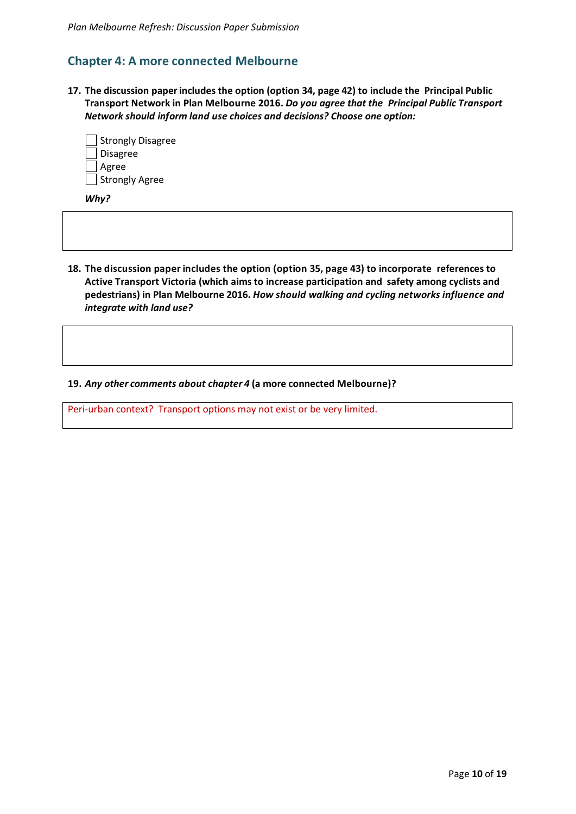# **Chapter 4: A more connected Melbourne**

**17. The discussion paper includes the option (option 34, page 42) to include the Principal Public Transport Network in Plan Melbourne 2016.** *Do you agree that the Principal Public Transport Network should inform land use choices and decisions? Choose one option:*

| Strongly Disagree |
|-------------------|
| Disagree          |
| Agree             |
| Strongly Agree    |

*Why?* 

**18. The discussion paper includes the option (option 35, page 43) to incorporate references to Active Transport Victoria (which aims to increase participation and safety among cyclists and pedestrians) in Plan Melbourne 2016.** *How should walking and cycling networks influence and integrate with land use?*

**19.** *Any other comments about chapter 4* **(a more connected Melbourne)?**

Peri-urban context? Transport options may not exist or be very limited.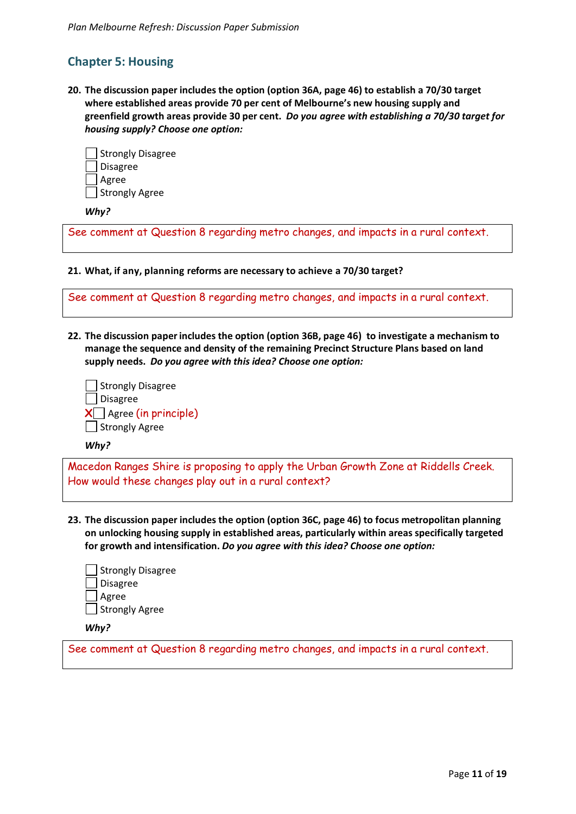# **Chapter 5: Housing**

**20. The discussion paper includes the option (option 36A, page 46) to establish a 70/30 target where established areas provide 70 per cent of Melbourne's new housing supply and greenfield growth areas provide 30 per cent.** *Do you agree with establishing a 70/30 target for housing supply? Choose one option:*

| Strongly Disagree |
|-------------------|
| <b>Disagree</b>   |
| J Agree           |
| Strongly Agree    |

*Why?* 

See comment at Question 8 regarding metro changes, and impacts in a rural context.

**21. What, if any, planning reforms are necessary to achieve a 70/30 target?**

| See comment at Question 8 regarding metro changes, and impacts in a rural context. |  |  |  |
|------------------------------------------------------------------------------------|--|--|--|
|                                                                                    |  |  |  |

**22. The discussion paper includes the option (option 36B, page 46) to investigate a mechanism to manage the sequence and density of the remaining Precinct Structure Plans based on land supply needs.** *Do you agree with this idea? Choose one option:*

| Strongly Disagree                     |
|---------------------------------------|
| │ <b>J</b> Disagree                   |
| $\bigtimes \Box$ Agree (in principle) |
| Strongly Agree                        |

*Why?* 

Macedon Ranges Shire is proposing to apply the Urban Growth Zone at Riddells Creek. How would these changes play out in a rural context?

**23. The discussion paper includes the option (option 36C, page 46) to focus metropolitan planning on unlocking housing supply in established areas, particularly within areas specifically targeted for growth and intensification.** *Do you agree with this idea? Choose one option:*

| Strongly Disagree |
|-------------------|
| Disagree          |
| Agree             |
| Strongly Agree    |
|                   |

*Why?* 

See comment at Question 8 regarding metro changes, and impacts in a rural context.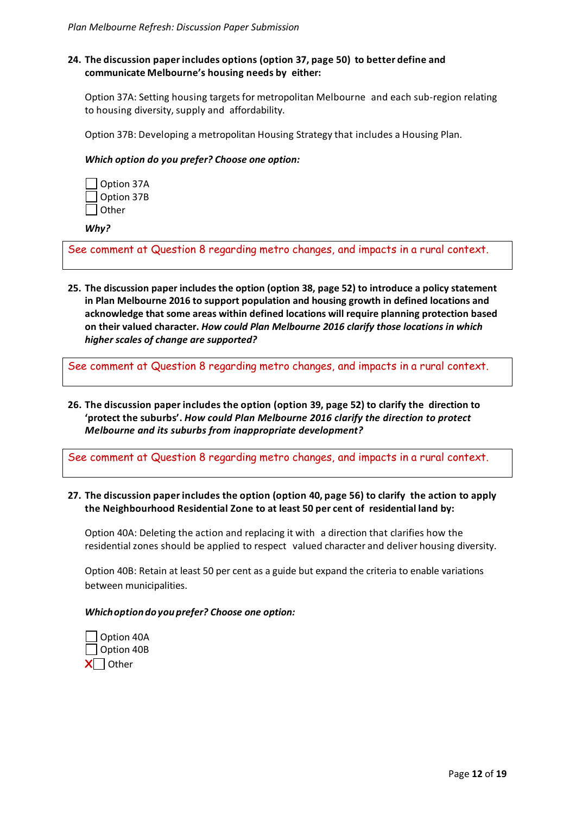# **24. The discussion paper includes options (option 37, page 50) to better define and communicate Melbourne's housing needs by either:**

Option 37A: Setting housing targets for metropolitan Melbourne and each sub-region relating to housing diversity, supply and affordability.

Option 37B: Developing a metropolitan Housing Strategy that includes a Housing Plan.

#### *Which option do you prefer? Choose one option:*

| Option 37A |
|------------|
| Option 37B |
| l Other    |

*Why?* 

See comment at Question 8 regarding metro changes, and impacts in a rural context.

**25. The discussion paper includes the option (option 38, page 52) to introduce a policy statement in Plan Melbourne 2016 to support population and housing growth in defined locations and acknowledge that some areas within defined locations will require planning protection based on their valued character.** *How could Plan Melbourne 2016 clarify those locations in which higher scales of change are supported?*

See comment at Question 8 regarding metro changes, and impacts in a rural context.

**26. The discussion paper includes the option (option 39, page 52) to clarify the direction to 'protect the suburbs'.** *How could Plan Melbourne 2016 clarify the direction to protect Melbourne and its suburbs from inappropriate development?*

See comment at Question 8 regarding metro changes, and impacts in a rural context.

## **27. The discussion paper includes the option (option 40, page 56) to clarify the action to apply the Neighbourhood Residential Zone to at least 50 per cent of residential land by:**

Option 40A: Deleting the action and replacing it with a direction that clarifies how the residential zones should be applied to respect valued character and deliver housing diversity.

Option 40B: Retain at least 50 per cent as a guide but expand the criteria to enable variations between municipalities.

#### *Which option do you prefer? Choose one option:*

 Option 40A Option 40B  $X$  Other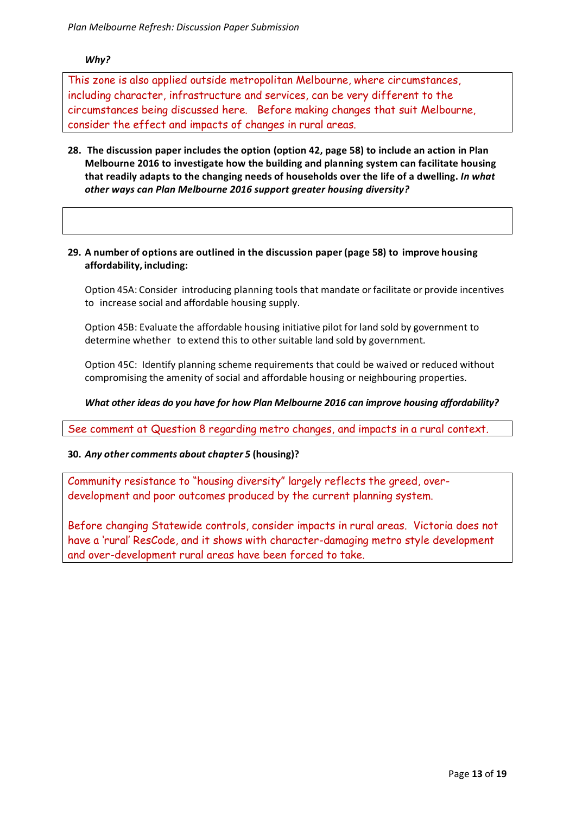# *Why?*

This zone is also applied outside metropolitan Melbourne, where circumstances, including character, infrastructure and services, can be very different to the circumstances being discussed here. Before making changes that suit Melbourne, consider the effect and impacts of changes in rural areas.

**28. The discussion paper includes the option (option 42, page 58) to include an action in Plan Melbourne 2016 to investigate how the building and planning system can facilitate housing that readily adapts to the changing needs of households over the life of a dwelling.** *In what other ways can Plan Melbourne 2016 support greater housing diversity?*

# **29. A number of options are outlined in the discussion paper (page 58) to improve housing affordability, including:**

Option 45A: Consider introducing planning tools that mandate or facilitate or provide incentives to increase social and affordable housing supply.

Option 45B: Evaluate the affordable housing initiative pilot for land sold by government to determine whether to extend this to other suitable land sold by government.

Option 45C: Identify planning scheme requirements that could be waived or reduced without compromising the amenity of social and affordable housing or neighbouring properties.

# *What other ideas do you have for how Plan Melbourne 2016 can improve housing affordability?*

See comment at Question 8 regarding metro changes, and impacts in a rural context.

## **30.** *Any other comments about chapter 5* **(housing)?**

Community resistance to "housing diversity" largely reflects the greed, overdevelopment and poor outcomes produced by the current planning system.

Before changing Statewide controls, consider impacts in rural areas. Victoria does not have a 'rural' ResCode, and it shows with character-damaging metro style development and over-development rural areas have been forced to take.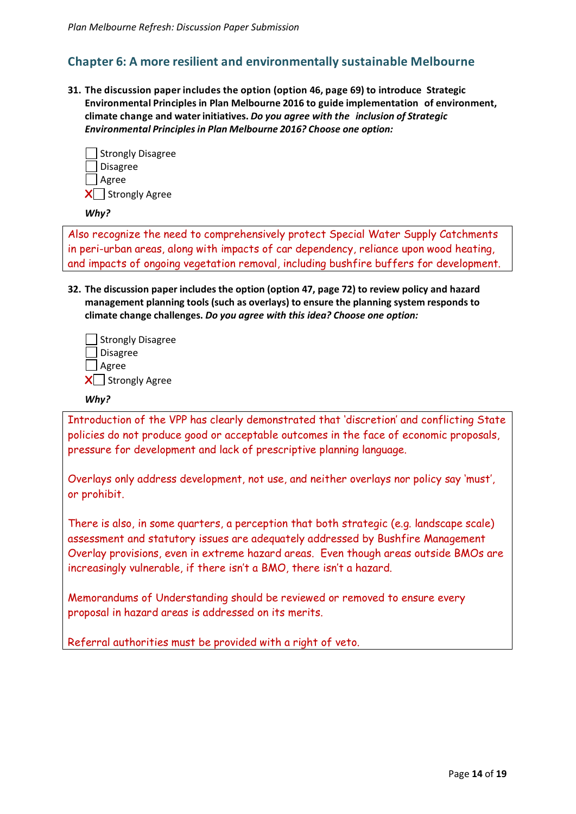# **Chapter 6: A more resilient and environmentally sustainable Melbourne**

**31. The discussion paper includes the option (option 46, page 69) to introduce Strategic Environmental Principles in Plan Melbourne 2016 to guide implementation of environment, climate change and water initiatives.** *Do you agree with the inclusion of Strategic Environmental Principles in Plan Melbourne 2016? Choose one option:*



#### *Why?*

Also recognize the need to comprehensively protect Special Water Supply Catchments in peri-urban areas, along with impacts of car dependency, reliance upon wood heating, and impacts of ongoing vegetation removal, including bushfire buffers for development.

**32. The discussion paper includes the option (option 47, page 72) to review policy and hazard management planning tools (such as overlays) to ensure the planning system responds to climate change challenges.** *Do you agree with this idea? Choose one option:*

| Strongly Disagree |
|-------------------|
| <b>J</b> Disagree |
| ∣ _  Agree        |
| X Strongly Agree  |

## *Why?*

Introduction of the VPP has clearly demonstrated that 'discretion' and conflicting State policies do not produce good or acceptable outcomes in the face of economic proposals, pressure for development and lack of prescriptive planning language.

Overlays only address development, not use, and neither overlays nor policy say 'must', or prohibit.

There is also, in some quarters, a perception that both strategic (e.g. landscape scale) assessment and statutory issues are adequately addressed by Bushfire Management Overlay provisions, even in extreme hazard areas. Even though areas outside BMOs are increasingly vulnerable, if there isn't a BMO, there isn't a hazard.

Memorandums of Understanding should be reviewed or removed to ensure every proposal in hazard areas is addressed on its merits.

Referral authorities must be provided with a right of veto.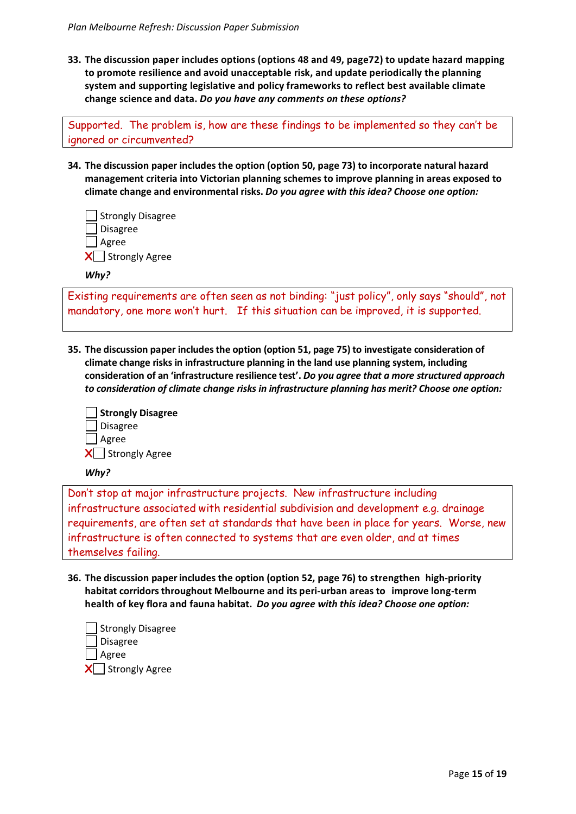**33. The discussion paper includes options (options 48 and 49, page72) to update hazard mapping to promote resilience and avoid unacceptable risk, and update periodically the planning system and supporting legislative and policy frameworks to reflect best available climate change science and data.** *Do you have any comments on these options?* 

Supported. The problem is, how are these findings to be implemented so they can't be ignored or circumvented?

**34. The discussion paper includes the option (option 50, page 73) to incorporate natural hazard management criteria into Victorian planning schemes to improve planning in areas exposed to climate change and environmental risks.** *Do you agree with this idea? Choose one option:*

| Strongly Disagree |
|-------------------|
| ∫ Disagree        |
| ∫ Agree           |
| X Strongly Agree  |

*Why?* 

Existing requirements are often seen as not binding: "just policy", only says "should", not mandatory, one more won't hurt. If this situation can be improved, it is supported.

**35. The discussion paper includes the option (option 51, page 75) to investigate consideration of climate change risks in infrastructure planning in the land use planning system, including consideration of an 'infrastructure resilience test'.** *Do you agree that a more structured approach to consideration of climate change risks in infrastructure planning has merit? Choose one option:*

| Strongly Disagree  |
|--------------------|
| Disagree           |
| ∣ _  Agree         |
| X   Strongly Agree |

*Why?* 

Don't stop at major infrastructure projects. New infrastructure including infrastructure associated with residential subdivision and development e.g. drainage requirements, are often set at standards that have been in place for years. Worse, new infrastructure is often connected to systems that are even older, and at times themselves failing.

**36. The discussion paper includes the option (option 52, page 76) to strengthen high-priority habitat corridors throughout Melbourne and its peri-urban areas to improve long-term health of key flora and fauna habitat.** *Do you agree with this idea? Choose one option:*

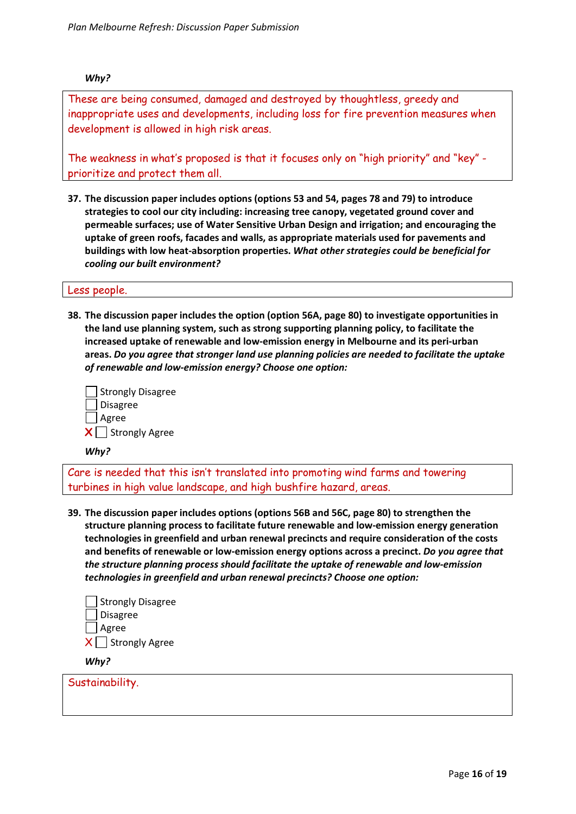## *Why?*

These are being consumed, damaged and destroyed by thoughtless, greedy and inappropriate uses and developments, including loss for fire prevention measures when development is allowed in high risk areas.

The weakness in what's proposed is that it focuses only on "high priority" and "key" prioritize and protect them all.

**37. The discussion paper includes options (options 53 and 54, pages 78 and 79) to introduce strategies to cool our city including: increasing tree canopy, vegetated ground cover and permeable surfaces; use of Water Sensitive Urban Design and irrigation; and encouraging the uptake of green roofs, facades and walls, as appropriate materials used for pavements and buildings with low heat-absorption properties.** *What other strategies could be beneficial for cooling our built environment?*

#### Less people.

**38. The discussion paper includes the option (option 56A, page 80) to investigate opportunities in the land use planning system, such as strong supporting planning policy, to facilitate the increased uptake of renewable and low-emission energy in Melbourne and its peri-urban areas.** *Do you agree that stronger land use planning policies are needed to facilitate the uptake of renewable and low-emission energy? Choose one option:*

| Strongly Disagree               |
|---------------------------------|
| ∫Disagree                       |
| Agree                           |
| $\mathsf{X}\Box$ Strongly Agree |

*Why?* 

Care is needed that this isn't translated into promoting wind farms and towering turbines in high value landscape, and high bushfire hazard, areas.

**39. The discussion paper includes options (options 56B and 56C, page 80) to strengthen the structure planning process to facilitate future renewable and low-emission energy generation technologies in greenfield and urban renewal precincts and require consideration of the costs and benefits of renewable or low-emission energy options across a precinct.** *Do you agree that the structure planning process should facilitate the uptake of renewable and low-emission technologies in greenfield and urban renewal precincts? Choose one option:*



*Why?* 

Sustainability.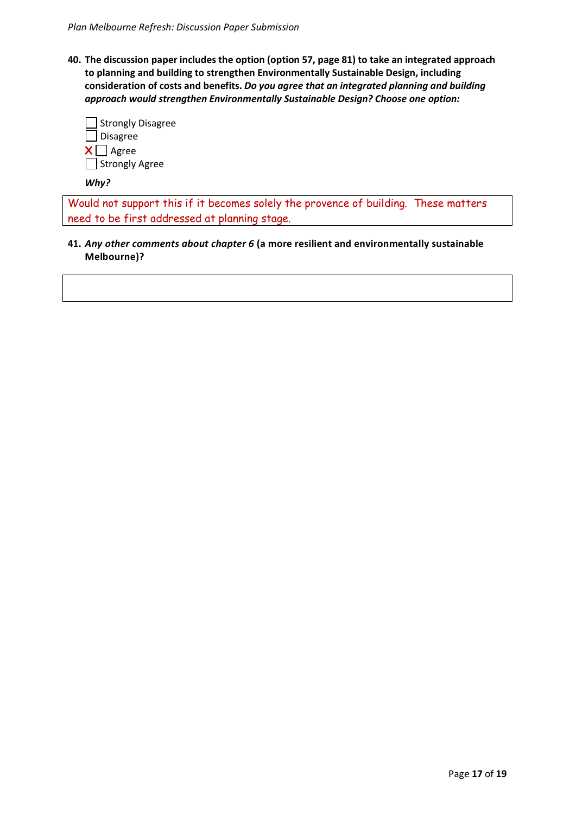**40. The discussion paper includes the option (option 57, page 81) to take an integrated approach to planning and building to strengthen Environmentally Sustainable Design, including consideration of costs and benefits.** *Do you agree that an integrated planning and building approach would strengthen Environmentally Sustainable Design? Choose one option:*

| Strongly Disagree<br>Disagree |
|-------------------------------|
| $X \bigsqcup$ Agree           |
| Strongly Agree                |

*Why?* 

Would not support this if it becomes solely the provence of building. These matters need to be first addressed at planning stage.

**41.** *Any other comments about chapter 6* **(a more resilient and environmentally sustainable Melbourne)?**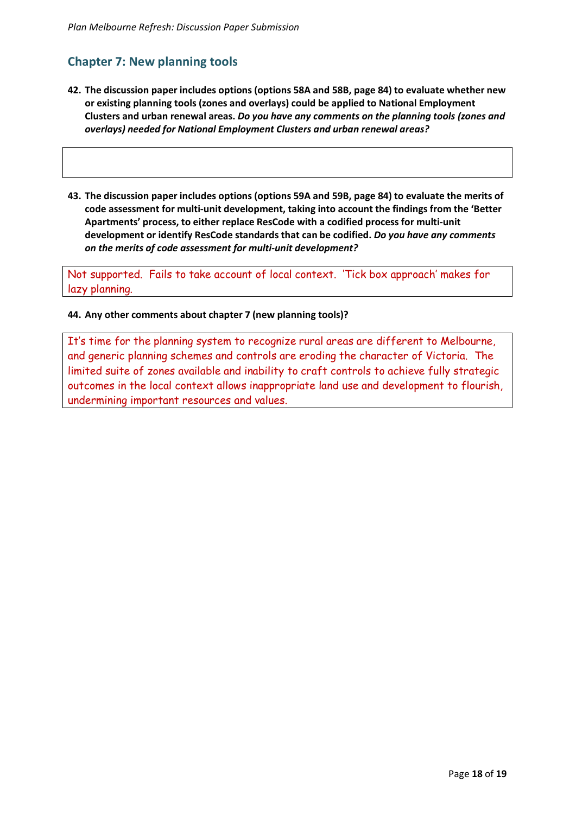# **Chapter 7: New planning tools**

- **42. The discussion paper includes options (options 58A and 58B, page 84) to evaluate whether new or existing planning tools (zones and overlays) could be applied to National Employment Clusters and urban renewal areas.** *Do you have any comments on the planning tools (zones and overlays) needed for National Employment Clusters and urban renewal areas?*
- **43. The discussion paper includes options (options 59A and 59B, page 84) to evaluate the merits of code assessment for multi-unit development, taking into account the findings from the 'Better Apartments' process, to either replace ResCode with a codified process for multi-unit development or identify ResCode standards that can be codified.** *Do you have any comments on the merits of code assessment for multi-unit development?*

Not supported. Fails to take account of local context. 'Tick box approach' makes for lazy planning.

# **44. Any other comments about chapter 7 (new planning tools)?**

It's time for the planning system to recognize rural areas are different to Melbourne, and generic planning schemes and controls are eroding the character of Victoria. The limited suite of zones available and inability to craft controls to achieve fully strategic outcomes in the local context allows inappropriate land use and development to flourish, undermining important resources and values.